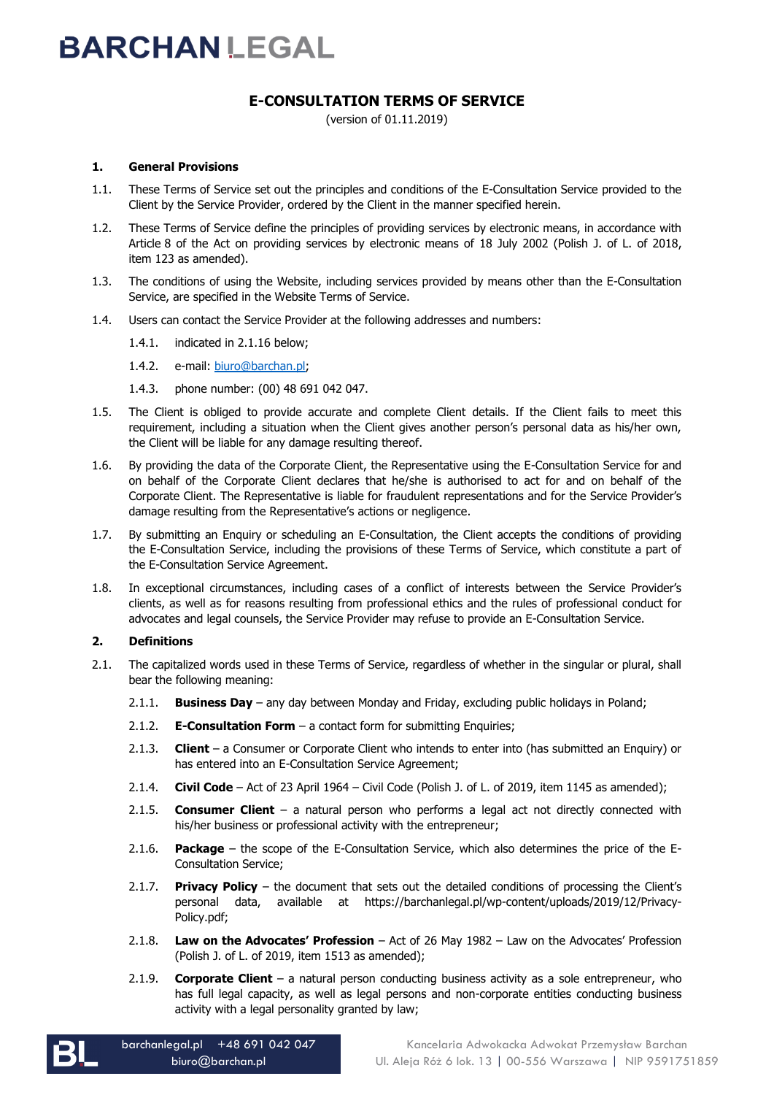### **E-CONSULTATION TERMS OF SERVICE**

(version of 01.11.2019)

### **1. General Provisions**

- 1.1. These Terms of Service set out the principles and conditions of the E-Consultation Service provided to the Client by the Service Provider, ordered by the Client in the manner specified herein.
- 1.2. These Terms of Service define the principles of providing services by electronic means, in accordance with Article 8 of the Act on providing services by electronic means of 18 July 2002 (Polish J. of L. of 2018, item 123 as amended).
- 1.3. The conditions of using the Website, including services provided by means other than the E-Consultation Service, are specified in the Website Terms of Service.
- 1.4. Users can contact the Service Provider at the following addresses and numbers:
	- 1.4.1. indicated in 2.1.16 below;
	- 1.4.2. e-mail: [biuro@barchan.pl;](mailto:biuro@barchan.pl)
	- 1.4.3. phone number: (00) 48 691 042 047.
- 1.5. The Client is obliged to provide accurate and complete Client details. If the Client fails to meet this requirement, including a situation when the Client gives another person's personal data as his/her own, the Client will be liable for any damage resulting thereof.
- 1.6. By providing the data of the Corporate Client, the Representative using the E-Consultation Service for and on behalf of the Corporate Client declares that he/she is authorised to act for and on behalf of the Corporate Client. The Representative is liable for fraudulent representations and for the Service Provider's damage resulting from the Representative's actions or negligence.
- 1.7. By submitting an Enquiry or scheduling an E-Consultation, the Client accepts the conditions of providing the E-Consultation Service, including the provisions of these Terms of Service, which constitute a part of the E-Consultation Service Agreement.
- 1.8. In exceptional circumstances, including cases of a conflict of interests between the Service Provider's clients, as well as for reasons resulting from professional ethics and the rules of professional conduct for advocates and legal counsels, the Service Provider may refuse to provide an E-Consultation Service.

### **2. Definitions**

- 2.1. The capitalized words used in these Terms of Service, regardless of whether in the singular or plural, shall bear the following meaning:
	- 2.1.1. **Business Day** any day between Monday and Friday, excluding public holidays in Poland;
	- 2.1.2. **E-Consultation Form** a contact form for submitting Enquiries;
	- 2.1.3. **Client** a Consumer or Corporate Client who intends to enter into (has submitted an Enquiry) or has entered into an E-Consultation Service Agreement;
	- 2.1.4. **Civil Code** Act of 23 April 1964 Civil Code (Polish J. of L. of 2019, item 1145 as amended);
	- 2.1.5. **Consumer Client**  a natural person who performs a legal act not directly connected with his/her business or professional activity with the entrepreneur;
	- 2.1.6. **Package** the scope of the E-Consultation Service, which also determines the price of the E-Consultation Service;
	- 2.1.7. **Privacy Policy** the document that sets out the detailed conditions of processing the Client's personal data, available at https://barchanlegal.pl/wp-content/uploads/2019/12/Privacy-Policy.pdf;
	- 2.1.8. **Law on the Advocates' Profession** Act of 26 May 1982 Law on the Advocates' Profession (Polish J. of L. of 2019, item 1513 as amended);
	- 2.1.9. **Corporate Client** a natural person conducting business activity as a sole entrepreneur, who has full legal capacity, as well as legal persons and non-corporate entities conducting business activity with a legal personality granted by law;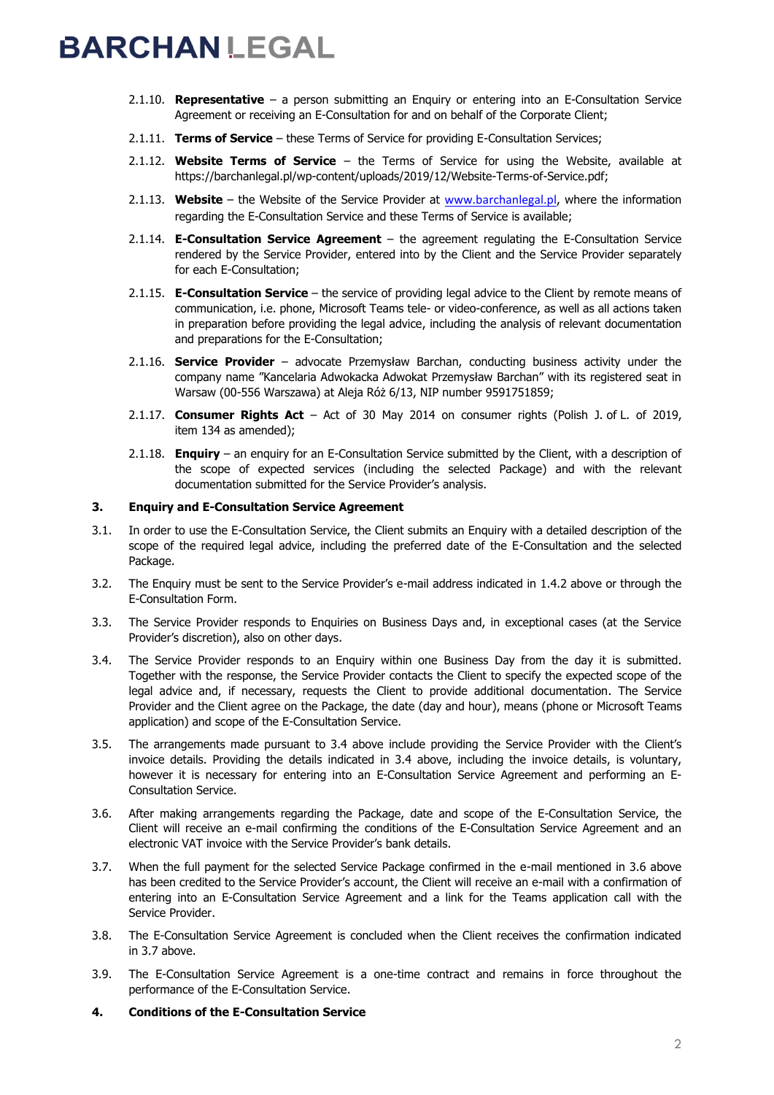- 2.1.10. **Representative** a person submitting an Enquiry or entering into an E-Consultation Service Agreement or receiving an E-Consultation for and on behalf of the Corporate Client;
- 2.1.11. **Terms of Service** these Terms of Service for providing E-Consultation Services;
- 2.1.12. **Website Terms of Service** the Terms of Service for using the Website, available at https://barchanlegal.pl/wp-content/uploads/2019/12/Website-Terms-of-Service.pdf;
- 2.1.13. **Website** the Website of the Service Provider at [www.barchanlegal.pl](http://www.barchanlegal.pl/), where the information regarding the E-Consultation Service and these Terms of Service is available;
- 2.1.14. **E-Consultation Service Agreement** the agreement regulating the E-Consultation Service rendered by the Service Provider, entered into by the Client and the Service Provider separately for each E-Consultation;
- 2.1.15. **E-Consultation Service** the service of providing legal advice to the Client by remote means of communication, i.e. phone, Microsoft Teams tele- or video-conference, as well as all actions taken in preparation before providing the legal advice, including the analysis of relevant documentation and preparations for the E-Consultation;
- 2.1.16. **Service Provider** advocate Przemysław Barchan, conducting business activity under the company name "Kancelaria Adwokacka Adwokat Przemysław Barchan" with its registered seat in Warsaw (00-556 Warszawa) at Aleja Róż 6/13, NIP number 9591751859;
- 2.1.17. **Consumer Rights Act** Act of 30 May 2014 on consumer rights (Polish J. of L. of 2019, item 134 as amended);
- 2.1.18. **Enquiry** an enquiry for an E-Consultation Service submitted by the Client, with a description of the scope of expected services (including the selected Package) and with the relevant documentation submitted for the Service Provider's analysis.

### **3. Enquiry and E-Consultation Service Agreement**

- 3.1. In order to use the E-Consultation Service, the Client submits an Enquiry with a detailed description of the scope of the required legal advice, including the preferred date of the E-Consultation and the selected Package.
- 3.2. The Enquiry must be sent to the Service Provider's e-mail address indicated in 1.4.2 above or through the E-Consultation Form.
- 3.3. The Service Provider responds to Enquiries on Business Days and, in exceptional cases (at the Service Provider's discretion), also on other days.
- 3.4. The Service Provider responds to an Enquiry within one Business Day from the day it is submitted. Together with the response, the Service Provider contacts the Client to specify the expected scope of the legal advice and, if necessary, requests the Client to provide additional documentation. The Service Provider and the Client agree on the Package, the date (day and hour), means (phone or Microsoft Teams application) and scope of the E-Consultation Service.
- 3.5. The arrangements made pursuant to 3.4 above include providing the Service Provider with the Client's invoice details. Providing the details indicated in 3.4 above, including the invoice details, is voluntary, however it is necessary for entering into an E-Consultation Service Agreement and performing an E-Consultation Service.
- 3.6. After making arrangements regarding the Package, date and scope of the E-Consultation Service, the Client will receive an e-mail confirming the conditions of the E-Consultation Service Agreement and an electronic VAT invoice with the Service Provider's bank details.
- 3.7. When the full payment for the selected Service Package confirmed in the e-mail mentioned in 3.6 above has been credited to the Service Provider's account, the Client will receive an e-mail with a confirmation of entering into an E-Consultation Service Agreement and a link for the Teams application call with the Service Provider.
- 3.8. The E-Consultation Service Agreement is concluded when the Client receives the confirmation indicated in 3.7 above.
- 3.9. The E-Consultation Service Agreement is a one-time contract and remains in force throughout the performance of the E-Consultation Service.
- **4. Conditions of the E-Consultation Service**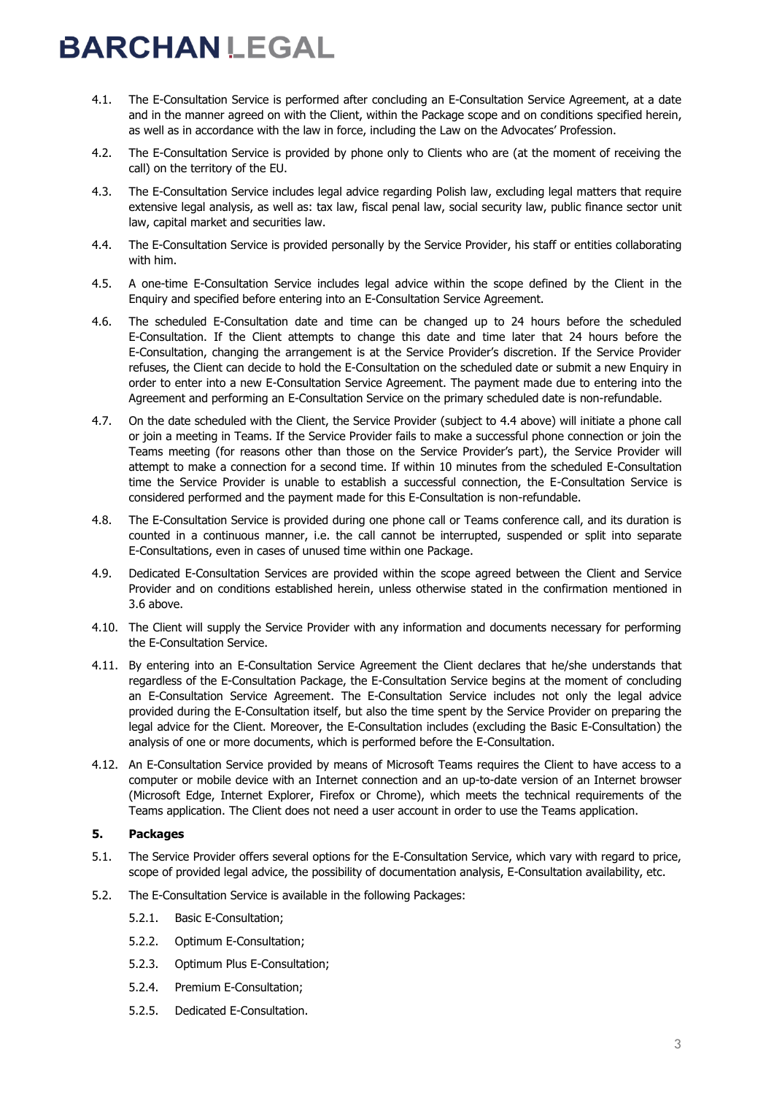- 4.1. The E-Consultation Service is performed after concluding an E-Consultation Service Agreement, at a date and in the manner agreed on with the Client, within the Package scope and on conditions specified herein, as well as in accordance with the law in force, including the Law on the Advocates' Profession.
- 4.2. The E-Consultation Service is provided by phone only to Clients who are (at the moment of receiving the call) on the territory of the EU.
- 4.3. The E-Consultation Service includes legal advice regarding Polish law, excluding legal matters that require extensive legal analysis, as well as: tax law, fiscal penal law, social security law, public finance sector unit law, capital market and securities law.
- 4.4. The E-Consultation Service is provided personally by the Service Provider, his staff or entities collaborating with him.
- 4.5. A one-time E-Consultation Service includes legal advice within the scope defined by the Client in the Enquiry and specified before entering into an E-Consultation Service Agreement.
- 4.6. The scheduled E-Consultation date and time can be changed up to 24 hours before the scheduled E-Consultation. If the Client attempts to change this date and time later that 24 hours before the E-Consultation, changing the arrangement is at the Service Provider's discretion. If the Service Provider refuses, the Client can decide to hold the E-Consultation on the scheduled date or submit a new Enquiry in order to enter into a new E-Consultation Service Agreement. The payment made due to entering into the Agreement and performing an E-Consultation Service on the primary scheduled date is non-refundable.
- 4.7. On the date scheduled with the Client, the Service Provider (subject to 4.4 above) will initiate a phone call or join a meeting in Teams. If the Service Provider fails to make a successful phone connection or join the Teams meeting (for reasons other than those on the Service Provider's part), the Service Provider will attempt to make a connection for a second time. If within 10 minutes from the scheduled E-Consultation time the Service Provider is unable to establish a successful connection, the E-Consultation Service is considered performed and the payment made for this E-Consultation is non-refundable.
- 4.8. The E-Consultation Service is provided during one phone call or Teams conference call, and its duration is counted in a continuous manner, i.e. the call cannot be interrupted, suspended or split into separate E-Consultations, even in cases of unused time within one Package.
- 4.9. Dedicated E-Consultation Services are provided within the scope agreed between the Client and Service Provider and on conditions established herein, unless otherwise stated in the confirmation mentioned in 3.6 above.
- 4.10. The Client will supply the Service Provider with any information and documents necessary for performing the E-Consultation Service.
- 4.11. By entering into an E-Consultation Service Agreement the Client declares that he/she understands that regardless of the E-Consultation Package, the E-Consultation Service begins at the moment of concluding an E-Consultation Service Agreement. The E-Consultation Service includes not only the legal advice provided during the E-Consultation itself, but also the time spent by the Service Provider on preparing the legal advice for the Client. Moreover, the E-Consultation includes (excluding the Basic E-Consultation) the analysis of one or more documents, which is performed before the E-Consultation.
- 4.12. An E-Consultation Service provided by means of Microsoft Teams requires the Client to have access to a computer or mobile device with an Internet connection and an up-to-date version of an Internet browser (Microsoft Edge, Internet Explorer, Firefox or Chrome), which meets the technical requirements of the Teams application. The Client does not need a user account in order to use the Teams application.

### **5. Packages**

- 5.1. The Service Provider offers several options for the E-Consultation Service, which vary with regard to price, scope of provided legal advice, the possibility of documentation analysis, E-Consultation availability, etc.
- 5.2. The E-Consultation Service is available in the following Packages:
	- 5.2.1. Basic E-Consultation;
	- 5.2.2. Optimum E-Consultation;
	- 5.2.3. Optimum Plus E-Consultation;
	- 5.2.4. Premium E-Consultation;
	- 5.2.5. Dedicated E-Consultation.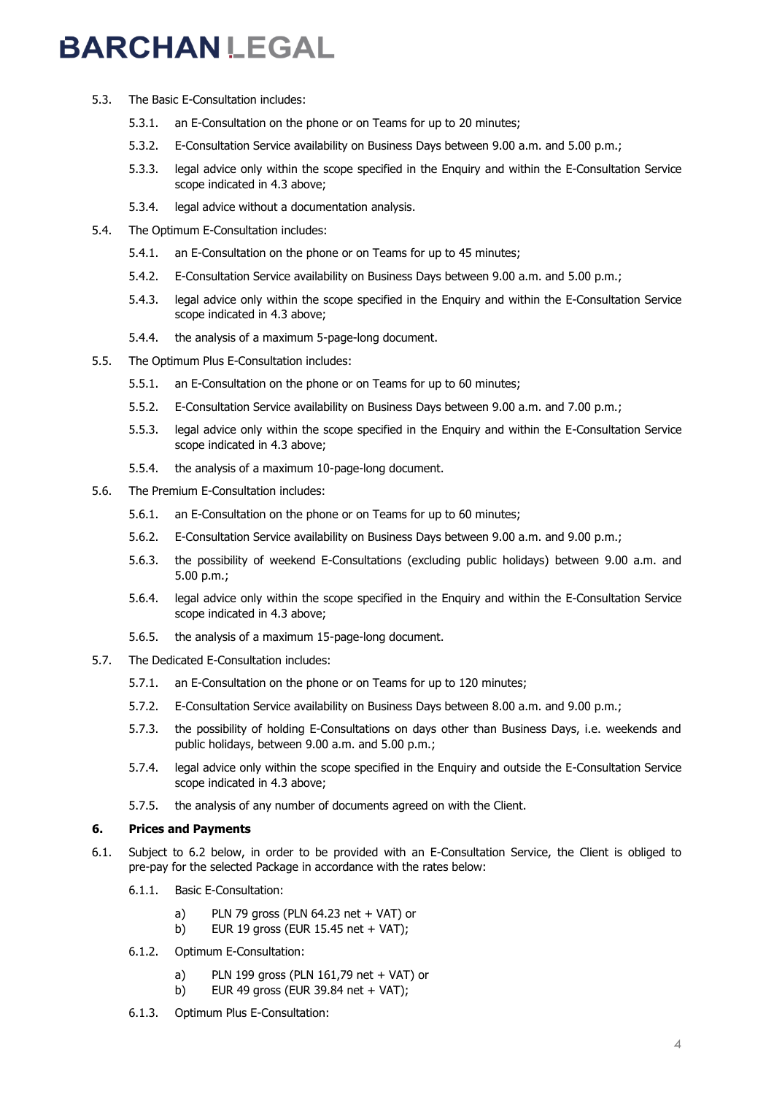- 5.3. The Basic E-Consultation includes:
	- 5.3.1. an E-Consultation on the phone or on Teams for up to 20 minutes;
	- 5.3.2. E-Consultation Service availability on Business Days between 9.00 a.m. and 5.00 p.m.;
	- 5.3.3. legal advice only within the scope specified in the Enquiry and within the E-Consultation Service scope indicated in 4.3 above;
	- 5.3.4. legal advice without a documentation analysis.
- 5.4. The Optimum E-Consultation includes:
	- 5.4.1. an E-Consultation on the phone or on Teams for up to 45 minutes;
	- 5.4.2. E-Consultation Service availability on Business Days between 9.00 a.m. and 5.00 p.m.;
	- 5.4.3. legal advice only within the scope specified in the Enquiry and within the E-Consultation Service scope indicated in 4.3 above;
	- 5.4.4. the analysis of a maximum 5-page-long document.
- 5.5. The Optimum Plus E-Consultation includes:
	- 5.5.1. an E-Consultation on the phone or on Teams for up to 60 minutes;
	- 5.5.2. E-Consultation Service availability on Business Days between 9.00 a.m. and 7.00 p.m.;
	- 5.5.3. legal advice only within the scope specified in the Enquiry and within the E-Consultation Service scope indicated in 4.3 above;
	- 5.5.4. the analysis of a maximum 10-page-long document.
- 5.6. The Premium E-Consultation includes:
	- 5.6.1. an E-Consultation on the phone or on Teams for up to 60 minutes;
	- 5.6.2. E-Consultation Service availability on Business Days between 9.00 a.m. and 9.00 p.m.;
	- 5.6.3. the possibility of weekend E-Consultations (excluding public holidays) between 9.00 a.m. and 5.00 p.m.;
	- 5.6.4. legal advice only within the scope specified in the Enquiry and within the E-Consultation Service scope indicated in 4.3 above;
	- 5.6.5. the analysis of a maximum 15-page-long document.
- 5.7. The Dedicated E-Consultation includes:
	- 5.7.1. an E-Consultation on the phone or on Teams for up to 120 minutes;
	- 5.7.2. E-Consultation Service availability on Business Days between 8.00 a.m. and 9.00 p.m.;
	- 5.7.3. the possibility of holding E-Consultations on days other than Business Days, i.e. weekends and public holidays, between 9.00 a.m. and 5.00 p.m.;
	- 5.7.4. legal advice only within the scope specified in the Enquiry and outside the E-Consultation Service scope indicated in 4.3 above;
	- 5.7.5. the analysis of any number of documents agreed on with the Client.

### **6. Prices and Payments**

- 6.1. Subject to 6.2 below, in order to be provided with an E-Consultation Service, the Client is obliged to pre-pay for the selected Package in accordance with the rates below:
	- 6.1.1. Basic E-Consultation:
		- a) PLN 79 gross (PLN 64.23 net + VAT) or
		- b) EUR 19 gross (EUR 15.45 net + VAT);
	- 6.1.2. Optimum E-Consultation:
		- a) PLN 199 gross (PLN 161,79 net + VAT) or
		- b) EUR 49 gross (EUR 39.84 net + VAT);
	- 6.1.3. Optimum Plus E-Consultation: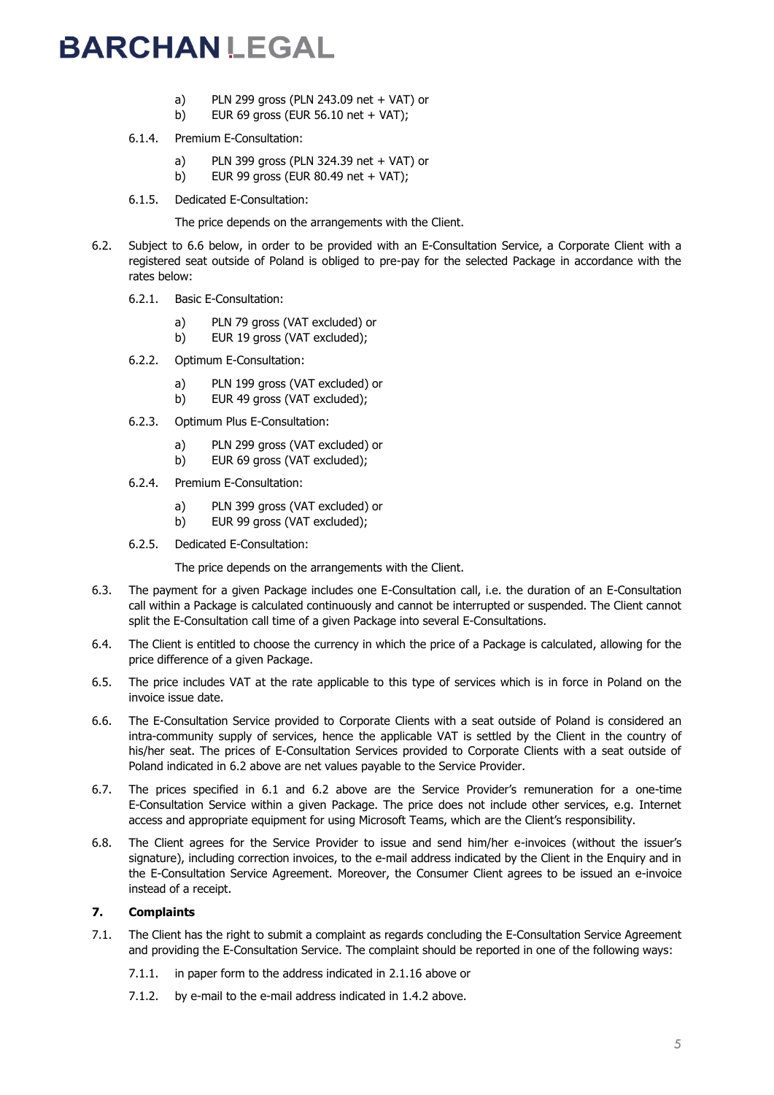- a) PLN 299 gross (PLN 243.09 net + VAT) or
- b) EUR 69 gross (EUR  $56.10$  net + VAT);
- 6.1.4. Premium E-Consultation:
	- a) PLN 399 gross (PLN 324.39 net + VAT) or
	- b) EUR 99 gross (EUR 80.49 net + VAT);
- 6.1.5. Dedicated E-Consultation:

The price depends on the arrangements with the Client.

- 6.2. Subject to 6.6 below, in order to be provided with an E-Consultation Service, a Corporate Client with a registered seat outside of Poland is obliged to pre-pay for the selected Package in accordance with the rates below:
	- 6.2.1. Basic E-Consultation:
		- a) PLN 79 gross (VAT excluded) or
		- b) EUR 19 gross (VAT excluded);
	- 6.2.2. Optimum E-Consultation:
		- a) PLN 199 gross (VAT excluded) or
		- b) EUR 49 gross (VAT excluded);
	- 6.2.3. Optimum Plus E-Consultation:
		- a) PLN 299 gross (VAT excluded) or
		- b) EUR 69 gross (VAT excluded);
	- 6.2.4. Premium E-Consultation:
		- a) PLN 399 gross (VAT excluded) or
		- b) EUR 99 gross (VAT excluded);
	- 6.2.5. Dedicated E-Consultation:

The price depends on the arrangements with the Client.

- 6.3. The payment for a given Package includes one E-Consultation call, i.e. the duration of an E-Consultation call within a Package is calculated continuously and cannot be interrupted or suspended. The Client cannot split the E-Consultation call time of a given Package into several E-Consultations.
- 6.4. The Client is entitled to choose the currency in which the price of a Package is calculated, allowing for the price difference of a given Package.
- 6.5. The price includes VAT at the rate applicable to this type of services which is in force in Poland on the invoice issue date.
- 6.6. The E-Consultation Service provided to Corporate Clients with a seat outside of Poland is considered an intra-community supply of services, hence the applicable VAT is settled by the Client in the country of his/her seat. The prices of E-Consultation Services provided to Corporate Clients with a seat outside of Poland indicated in 6.2 above are net values payable to the Service Provider.
- 6.7. The prices specified in 6.1 and 6.2 above are the Service Provider's remuneration for a one-time E-Consultation Service within a given Package. The price does not include other services, e.g. Internet access and appropriate equipment for using Microsoft Teams, which are the Client's responsibility.
- 6.8. The Client agrees for the Service Provider to issue and send him/her e-invoices (without the issuer's signature), including correction invoices, to the e-mail address indicated by the Client in the Enquiry and in the E-Consultation Service Agreement. Moreover, the Consumer Client agrees to be issued an e-invoice instead of a receipt.

### **7. Complaints**

- 7.1. The Client has the right to submit a complaint as regards concluding the E-Consultation Service Agreement and providing the E-Consultation Service. The complaint should be reported in one of the following ways:
	- 7.1.1. in paper form to the address indicated in 2.1.16 above or
	- 7.1.2. by e-mail to the e-mail address indicated in 1.4.2 above.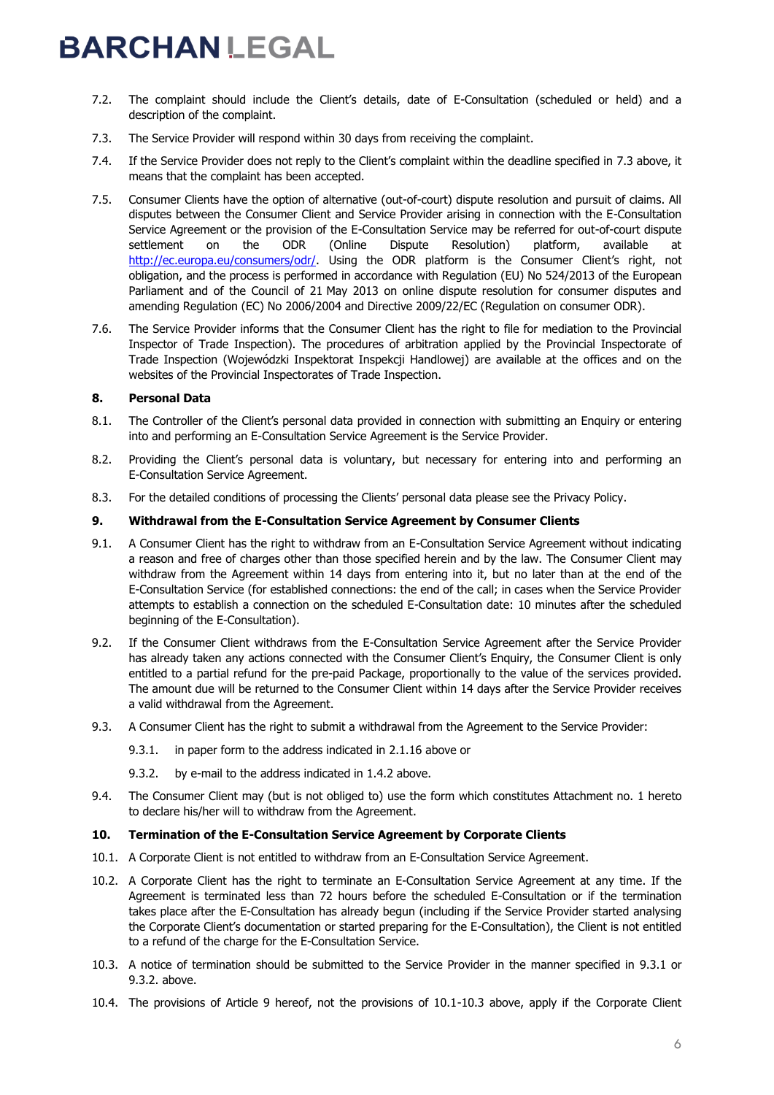- 7.2. The complaint should include the Client's details, date of E-Consultation (scheduled or held) and a description of the complaint.
- 7.3. The Service Provider will respond within 30 days from receiving the complaint.
- 7.4. If the Service Provider does not reply to the Client's complaint within the deadline specified in 7.3 above, it means that the complaint has been accepted.
- 7.5. Consumer Clients have the option of alternative (out-of-court) dispute resolution and pursuit of claims. All disputes between the Consumer Client and Service Provider arising in connection with the E-Consultation Service Agreement or the provision of the E-Consultation Service may be referred for out-of-court dispute settlement on the ODR (Online Dispute Resolution) platform, available at [http://ec.europa.eu/consumers/odr/.](http://ec.europa.eu/consumers/odr/) Using the ODR platform is the Consumer Client's right, not obligation, and the process is performed in accordance with Regulation (EU) No 524/2013 of the European Parliament and of the Council of 21 May 2013 on online dispute resolution for consumer disputes and amending Regulation (EC) No 2006/2004 and Directive 2009/22/EC (Regulation on consumer ODR).
- 7.6. The Service Provider informs that the Consumer Client has the right to file for mediation to the Provincial Inspector of Trade Inspection). The procedures of arbitration applied by the Provincial Inspectorate of Trade Inspection (Wojewódzki Inspektorat Inspekcji Handlowej) are available at the offices and on the websites of the Provincial Inspectorates of Trade Inspection.

### **8. Personal Data**

- 8.1. The Controller of the Client's personal data provided in connection with submitting an Enquiry or entering into and performing an E-Consultation Service Agreement is the Service Provider.
- 8.2. Providing the Client's personal data is voluntary, but necessary for entering into and performing an E-Consultation Service Agreement.
- 8.3. For the detailed conditions of processing the Clients' personal data please see the Privacy Policy.

#### **9. Withdrawal from the E-Consultation Service Agreement by Consumer Clients**

- 9.1. A Consumer Client has the right to withdraw from an E-Consultation Service Agreement without indicating a reason and free of charges other than those specified herein and by the law. The Consumer Client may withdraw from the Agreement within 14 days from entering into it, but no later than at the end of the E-Consultation Service (for established connections: the end of the call; in cases when the Service Provider attempts to establish a connection on the scheduled E-Consultation date: 10 minutes after the scheduled beginning of the E-Consultation).
- 9.2. If the Consumer Client withdraws from the E-Consultation Service Agreement after the Service Provider has already taken any actions connected with the Consumer Client's Enquiry, the Consumer Client is only entitled to a partial refund for the pre-paid Package, proportionally to the value of the services provided. The amount due will be returned to the Consumer Client within 14 days after the Service Provider receives a valid withdrawal from the Agreement.
- 9.3. A Consumer Client has the right to submit a withdrawal from the Agreement to the Service Provider:
	- 9.3.1. in paper form to the address indicated in 2.1.16 above or
	- 9.3.2. by e-mail to the address indicated in 1.4.2 above.
- 9.4. The Consumer Client may (but is not obliged to) use the form which constitutes Attachment no. 1 hereto to declare his/her will to withdraw from the Agreement.

### **10. Termination of the E-Consultation Service Agreement by Corporate Clients**

- 10.1. A Corporate Client is not entitled to withdraw from an E-Consultation Service Agreement.
- 10.2. A Corporate Client has the right to terminate an E-Consultation Service Agreement at any time. If the Agreement is terminated less than 72 hours before the scheduled E-Consultation or if the termination takes place after the E-Consultation has already begun (including if the Service Provider started analysing the Corporate Client's documentation or started preparing for the E-Consultation), the Client is not entitled to a refund of the charge for the E-Consultation Service.
- 10.3. A notice of termination should be submitted to the Service Provider in the manner specified in 9.3.1 or 9.3.2. above.
- 10.4. The provisions of Article 9 hereof, not the provisions of 10.1-10.3 above, apply if the Corporate Client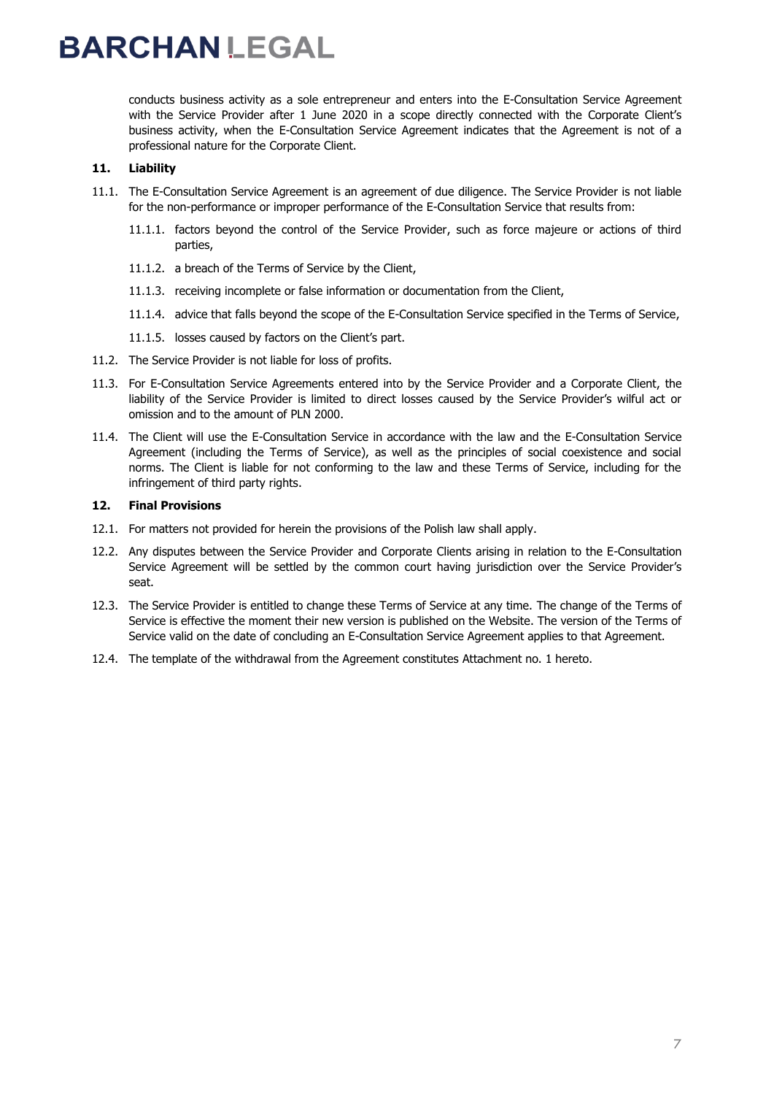conducts business activity as a sole entrepreneur and enters into the E-Consultation Service Agreement with the Service Provider after 1 June 2020 in a scope directly connected with the Corporate Client's business activity, when the E-Consultation Service Agreement indicates that the Agreement is not of a professional nature for the Corporate Client.

### **11. Liability**

- 11.1. The E-Consultation Service Agreement is an agreement of due diligence. The Service Provider is not liable for the non-performance or improper performance of the E-Consultation Service that results from:
	- 11.1.1. factors beyond the control of the Service Provider, such as force majeure or actions of third parties,
	- 11.1.2. a breach of the Terms of Service by the Client,
	- 11.1.3. receiving incomplete or false information or documentation from the Client,
	- 11.1.4. advice that falls beyond the scope of the E-Consultation Service specified in the Terms of Service,
	- 11.1.5. losses caused by factors on the Client's part.
- 11.2. The Service Provider is not liable for loss of profits.
- 11.3. For E-Consultation Service Agreements entered into by the Service Provider and a Corporate Client, the liability of the Service Provider is limited to direct losses caused by the Service Provider's wilful act or omission and to the amount of PLN 2000.
- 11.4. The Client will use the E-Consultation Service in accordance with the law and the E-Consultation Service Agreement (including the Terms of Service), as well as the principles of social coexistence and social norms. The Client is liable for not conforming to the law and these Terms of Service, including for the infringement of third party rights.

### **12. Final Provisions**

- 12.1. For matters not provided for herein the provisions of the Polish law shall apply.
- 12.2. Any disputes between the Service Provider and Corporate Clients arising in relation to the E-Consultation Service Agreement will be settled by the common court having jurisdiction over the Service Provider's seat.
- 12.3. The Service Provider is entitled to change these Terms of Service at any time. The change of the Terms of Service is effective the moment their new version is published on the Website. The version of the Terms of Service valid on the date of concluding an E-Consultation Service Agreement applies to that Agreement.
- 12.4. The template of the withdrawal from the Agreement constitutes Attachment no. 1 hereto.